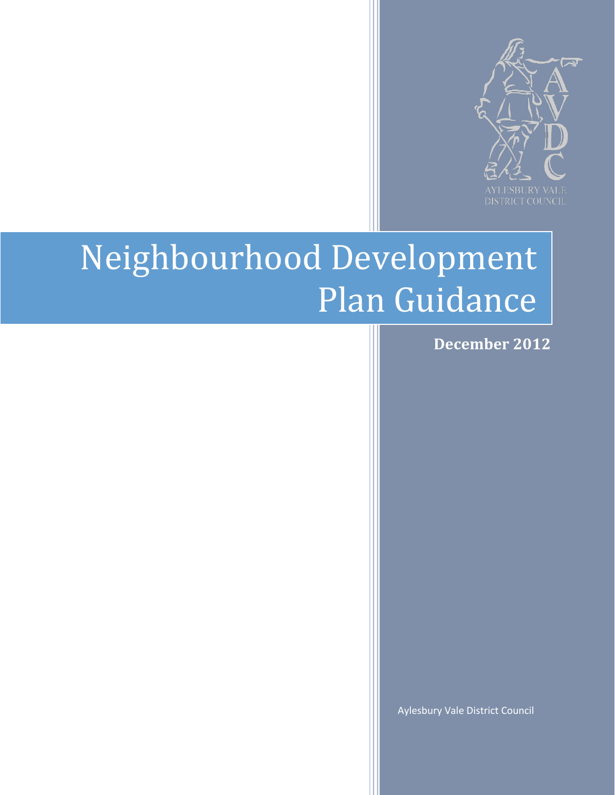

# Neighbourhood Development Plan Guidance

 **December 2012**

Aylesbury Vale District Council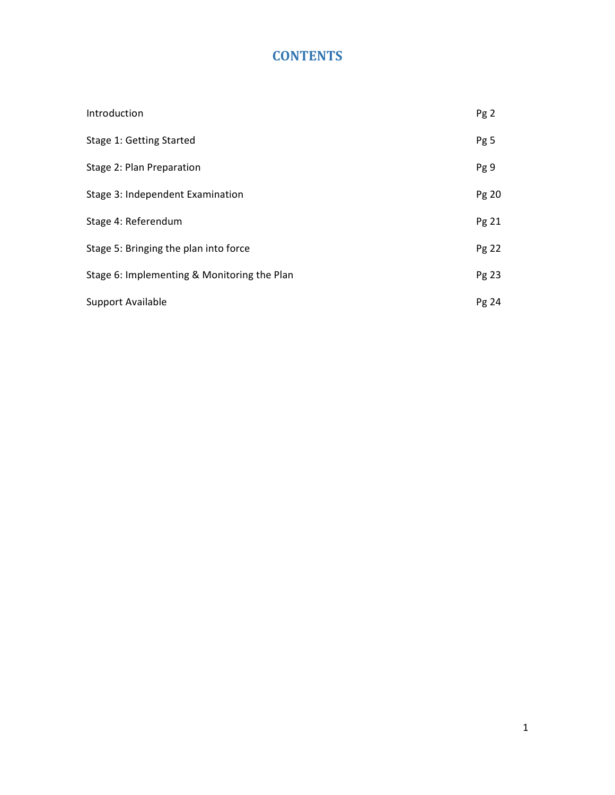# **CONTENTS**

| Introduction                                | Pg <sub>2</sub> |
|---------------------------------------------|-----------------|
| Stage 1: Getting Started                    | Pg 5            |
| Stage 2: Plan Preparation                   | Pg 9            |
| Stage 3: Independent Examination            | Pg 20           |
| Stage 4: Referendum                         | Pg 21           |
| Stage 5: Bringing the plan into force       |                 |
| Stage 6: Implementing & Monitoring the Plan | Pg 23           |
| Support Available                           | Pg24            |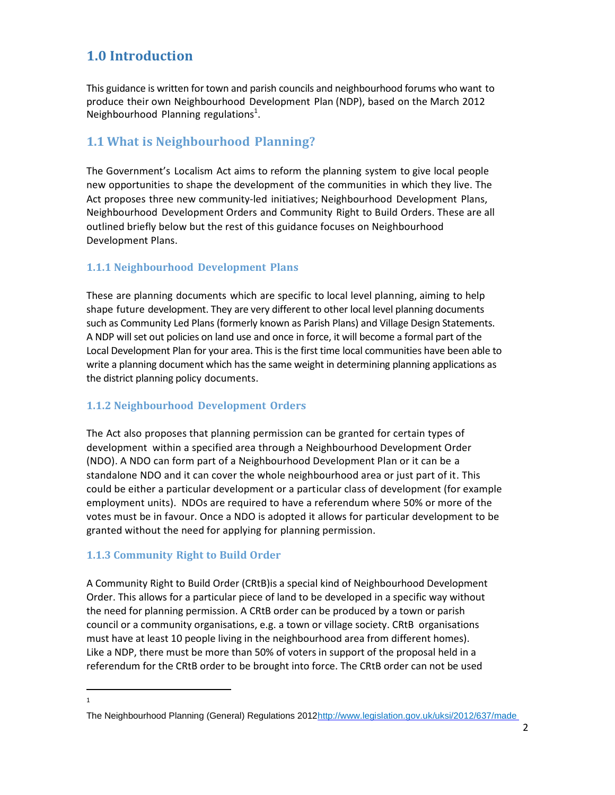# **1.0 Introduction**

This guidance is written for town and parish councils and neighbourhood forums who want to produce their own Neighbourhood Development Plan (NDP), based on the March 2012 Neighbourhood Planning regulations<sup>1</sup>.

## **1.1 What is Neighbourhood Planning?**

The Government's Localism Act aims to reform the planning system to give local people new opportunities to shape the development of the communities in which they live. The Act proposes three new community-led initiatives; Neighbourhood Development Plans, Neighbourhood Development Orders and Community Right to Build Orders. These are all outlined briefly below but the rest of this guidance focuses on Neighbourhood Development Plans.

#### **1.1.1 Neighbourhood Development Plans**

These are planning documents which are specific to local level planning, aiming to help shape future development. They are very different to other local level planning documents such as Community Led Plans (formerly known as Parish Plans) and Village Design Statements. A NDP will set out policies on land use and once in force, it will become a formal part of the Local Development Plan for your area. This is the first time local communities have been able to write a planning document which has the same weight in determining planning applications as the district planning policy documents.

#### **1.1.2 Neighbourhood Development Orders**

The Act also proposes that planning permission can be granted for certain types of development within a specified area through a Neighbourhood Development Order (NDO). A NDO can form part of a Neighbourhood Development Plan or it can be a standalone NDO and it can cover the whole neighbourhood area or just part of it. This could be either a particular development or a particular class of development (for example employment units). NDOs are required to have a referendum where 50% or more of the votes must be in favour. Once a NDO is adopted it allows for particular development to be granted without the need for applying for planning permission.

#### **1.1.3 Community Right to Build Order**

A Community Right to Build Order (CRtB)is a special kind of Neighbourhood Development Order. This allows for a particular piece of land to be developed in a specific way without the need for planning permission. A CRtB order can be produced by a town or parish council or a community organisations, e.g. a town or village society. CRtB organisations must have at least 10 people living in the neighbourhood area from different homes). Like a NDP, there must be more than 50% of voters in support of the proposal held in a referendum for the CRtB order to be brought into force. The CRtB order can not be used

 $\overline{a}$ 1

The Neighbourhood Planning (General) Regulations 201[2http://www.legislation.gov.uk/uksi/2012/637/made](http://www.legislation.gov.uk/uksi/2012/637/made)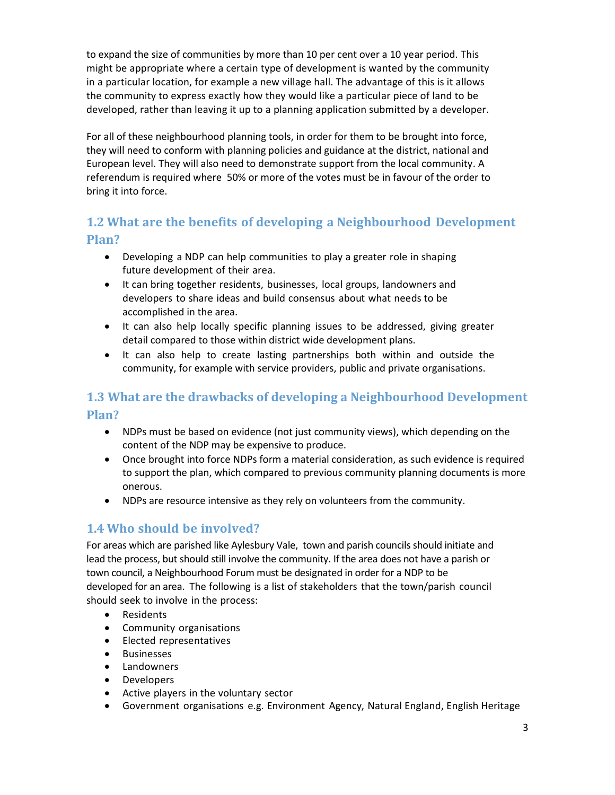to expand the size of communities by more than 10 per cent over a 10 year period. This might be appropriate where a certain type of development is wanted by the community in a particular location, for example a new village hall. The advantage of this is it allows the community to express exactly how they would like a particular piece of land to be developed, rather than leaving it up to a planning application submitted by a developer.

For all of these neighbourhood planning tools, in order for them to be brought into force, they will need to conform with planning policies and guidance at the district, national and European level. They will also need to demonstrate support from the local community. A referendum is required where 50% or more of the votes must be in favour of the order to bring it into force.

## **1.2 What are the benefits of developing a Neighbourhood Development Plan?**

- Developing a NDP can help communities to play a greater role in shaping future development of their area.
- It can bring together residents, businesses, local groups, landowners and developers to share ideas and build consensus about what needs to be accomplished in the area.
- It can also help locally specific planning issues to be addressed, giving greater detail compared to those within district wide development plans.
- It can also help to create lasting partnerships both within and outside the community, for example with service providers, public and private organisations.

## **1.3 What are the drawbacks of developing a Neighbourhood Development Plan?**

- NDPs must be based on evidence (not just community views), which depending on the content of the NDP may be expensive to produce.
- Once brought into force NDPs form a material consideration, as such evidence is required to support the plan, which compared to previous community planning documents is more onerous.
- NDPs are resource intensive as they rely on volunteers from the community.

## **1.4 Who should be involved?**

For areas which are parished like Aylesbury Vale, town and parish councils should initiate and lead the process, but should still involve the community. If the area does not have a parish or town council, a Neighbourhood Forum must be designated in order for a NDP to be developed for an area. The following is a list of stakeholders that the town/parish council should seek to involve in the process:

- Residents
- Community organisations
- Elected representatives
- **•** Businesses
- Landowners
- Developers
- Active players in the voluntary sector
- Government organisations e.g. Environment Agency, Natural England, English Heritage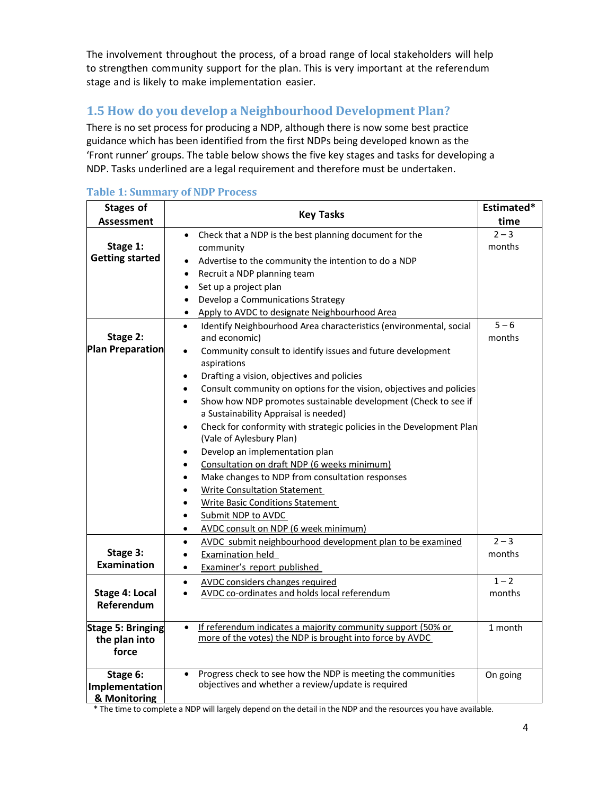The involvement throughout the process, of a broad range of local stakeholders will help to strengthen community support for the plan. This is very important at the referendum stage and is likely to make implementation easier.

## **1.5 How do you develop a Neighbourhood Development Plan?**

There is no set process for producing a NDP, although there is now some best practice guidance which has been identified from the first NDPs being developed known as the 'Front runner' groups. The table below shows the five key stages and tasks for developing a NDP. Tasks underlined are a legal requirement and therefore must be undertaken.

| <b>Stages of</b>                | <b>Key Tasks</b>                                                                        | Estimated* |
|---------------------------------|-----------------------------------------------------------------------------------------|------------|
| <b>Assessment</b>               |                                                                                         | time       |
|                                 | Check that a NDP is the best planning document for the<br>$\bullet$                     | $2 - 3$    |
| Stage 1:                        | community                                                                               | months     |
| <b>Getting started</b>          | Advertise to the community the intention to do a NDP<br>$\bullet$                       |            |
|                                 | Recruit a NDP planning team<br>$\bullet$                                                |            |
|                                 | Set up a project plan<br>$\bullet$                                                      |            |
|                                 | Develop a Communications Strategy<br>$\bullet$                                          |            |
|                                 | Apply to AVDC to designate Neighbourhood Area<br>$\bullet$                              |            |
|                                 | Identify Neighbourhood Area characteristics (environmental, social<br>$\bullet$         | $5 - 6$    |
| Stage 2:                        | and economic)                                                                           | months     |
| <b>Plan Preparation</b>         | Community consult to identify issues and future development<br>$\bullet$<br>aspirations |            |
|                                 | Drafting a vision, objectives and policies<br>$\bullet$                                 |            |
|                                 | Consult community on options for the vision, objectives and policies<br>$\bullet$       |            |
|                                 | Show how NDP promotes sustainable development (Check to see if<br>$\bullet$             |            |
|                                 | a Sustainability Appraisal is needed)                                                   |            |
|                                 | Check for conformity with strategic policies in the Development Plan<br>$\bullet$       |            |
|                                 | (Vale of Aylesbury Plan)                                                                |            |
|                                 | Develop an implementation plan                                                          |            |
|                                 | Consultation on draft NDP (6 weeks minimum)<br>$\bullet$                                |            |
|                                 | Make changes to NDP from consultation responses<br>$\bullet$                            |            |
|                                 | <b>Write Consultation Statement</b>                                                     |            |
|                                 | <b>Write Basic Conditions Statement</b>                                                 |            |
|                                 | Submit NDP to AVDC                                                                      |            |
|                                 | AVDC consult on NDP (6 week minimum)<br>$\bullet$                                       |            |
|                                 | AVDC submit neighbourhood development plan to be examined<br>$\bullet$                  | $2 - 3$    |
| Stage 3:<br><b>Examination</b>  | <b>Examination held</b><br>$\bullet$                                                    | months     |
|                                 | Examiner's report published<br>$\bullet$                                                |            |
|                                 | <b>AVDC</b> considers changes required<br>$\bullet$                                     | $1 - 2$    |
| <b>Stage 4: Local</b>           | AVDC co-ordinates and holds local referendum<br>$\bullet$                               | months     |
| Referendum                      |                                                                                         |            |
| <b>Stage 5: Bringing</b>        | If referendum indicates a majority community support (50% or<br>$\bullet$               | 1 month    |
| the plan into                   | more of the votes) the NDP is brought into force by AVDC                                |            |
| force                           |                                                                                         |            |
| Stage 6:                        | Progress check to see how the NDP is meeting the communities<br>$\bullet$               | On going   |
| Implementation<br>8. Monitoring | objectives and whether a review/update is required                                      |            |

#### **Table 1: Summary of NDP Process**

**& Monitoring** 

\* The time to complete a NDP will largely depend on the detail in the NDP and the resources you have available.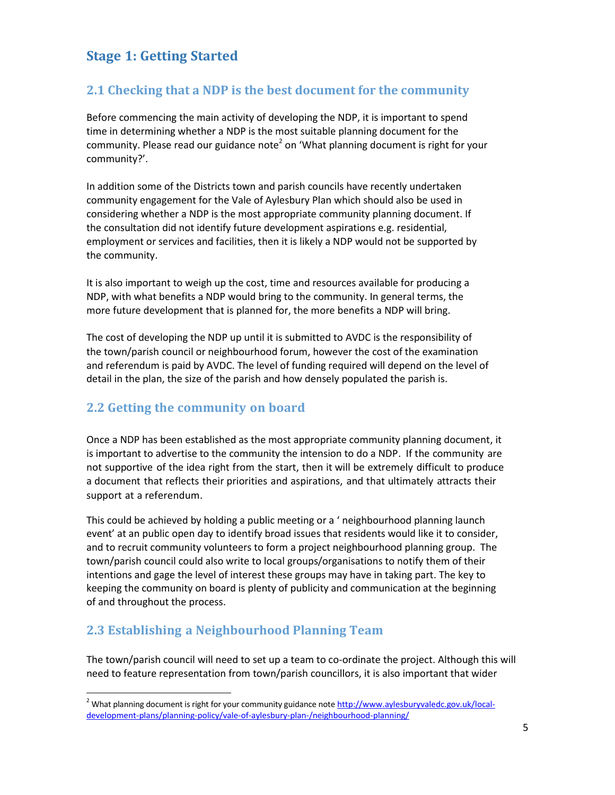# **Stage 1: Getting Started**

## **2.1 Checking that a NDP is the best document for the community**

Before commencing the main activity of developing the NDP, it is important to spend time in determining whether a NDP is the most suitable planning document for the community. Please read our guidance note<sup>2</sup> on 'What planning document is right for your community?'.

In addition some of the Districts town and parish councils have recently undertaken community engagement for the Vale of Aylesbury Plan which should also be used in considering whether a NDP is the most appropriate community planning document. If the consultation did not identify future development aspirations e.g. residential, employment or services and facilities, then it is likely a NDP would not be supported by the community.

It is also important to weigh up the cost, time and resources available for producing a NDP, with what benefits a NDP would bring to the community. In general terms, the more future development that is planned for, the more benefits a NDP will bring.

The cost of developing the NDP up until it is submitted to AVDC is the responsibility of the town/parish council or neighbourhood forum, however the cost of the examination and referendum is paid by AVDC. The level of funding required will depend on the level of detail in the plan, the size of the parish and how densely populated the parish is.

## **2.2 Getting the community on board**

Once a NDP has been established as the most appropriate community planning document, it is important to advertise to the community the intension to do a NDP. If the community are not supportive of the idea right from the start, then it will be extremely difficult to produce a document that reflects their priorities and aspirations, and that ultimately attracts their support at a referendum.

This could be achieved by holding a public meeting or a ' neighbourhood planning launch event' at an public open day to identify broad issues that residents would like it to consider, and to recruit community volunteers to form a project neighbourhood planning group. The town/parish council could also write to local groups/organisations to notify them of their intentions and gage the level of interest these groups may have in taking part. The key to keeping the community on board is plenty of publicity and communication at the beginning of and throughout the process.

## **2.3 Establishing a Neighbourhood Planning Team**

 $\ddot{\phantom{a}}$ 

The town/parish council will need to set up a team to co-ordinate the project. Although this will need to feature representation from town/parish councillors, it is also important that wider

<sup>&</sup>lt;sup>2</sup> What planning document is right for your community guidance note [http://www.aylesburyvaledc.gov.uk/local](http://www.aylesburyvaledc.gov.uk/local-development-plans/planning-policy/vale-of-aylesbury-plan-/neighbourhood-planning/)[development-plans/planning-policy/vale-of-aylesbury-plan-/neighbourhood-planning/](http://www.aylesburyvaledc.gov.uk/local-development-plans/planning-policy/vale-of-aylesbury-plan-/neighbourhood-planning/)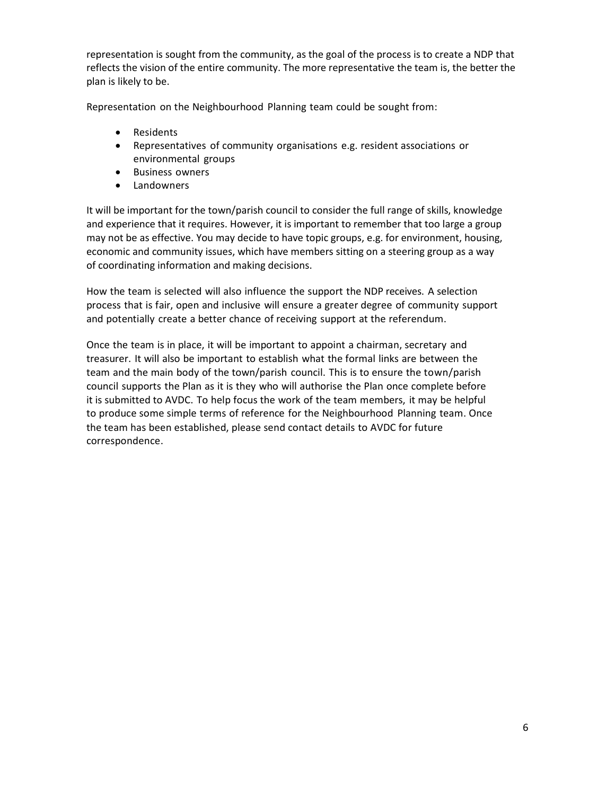representation is sought from the community, as the goal of the process is to create a NDP that reflects the vision of the entire community. The more representative the team is, the better the plan is likely to be.

Representation on the Neighbourhood Planning team could be sought from:

- Residents
- Representatives of community organisations e.g. resident associations or environmental groups
- **•** Business owners
- Landowners

It will be important for the town/parish council to consider the full range of skills, knowledge and experience that it requires. However, it is important to remember that too large a group may not be as effective. You may decide to have topic groups, e.g. for environment, housing, economic and community issues, which have members sitting on a steering group as a way of coordinating information and making decisions.

How the team is selected will also influence the support the NDP receives. A selection process that is fair, open and inclusive will ensure a greater degree of community support and potentially create a better chance of receiving support at the referendum.

Once the team is in place, it will be important to appoint a chairman, secretary and treasurer. It will also be important to establish what the formal links are between the team and the main body of the town/parish council. This is to ensure the town/parish council supports the Plan as it is they who will authorise the Plan once complete before it is submitted to AVDC. To help focus the work of the team members, it may be helpful to produce some simple terms of reference for the Neighbourhood Planning team. Once the team has been established, please send contact details to AVDC for future correspondence.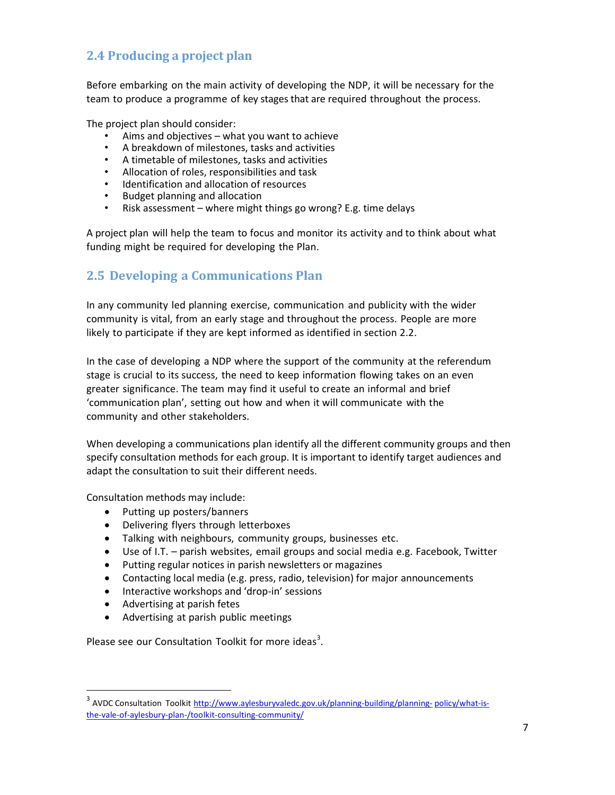## **2.4 Producing a project plan**

Before embarking on the main activity of developing the NDP, it will be necessary for the team to produce a programme of key stages that are required throughout the process.

The project plan should consider:

- Aims and objectives what you want to achieve
- A breakdown of milestones, tasks and activities
- A timetable of milestones, tasks and activities
- Allocation of roles, responsibilities and task
- Identification and allocation of resources
- Budget planning and allocation
- Risk assessment where might things go wrong? E.g. time delays

A project plan will help the team to focus and monitor its activity and to think about what funding might be required for developing the Plan.

## **2.5 Developing a Communications Plan**

In any community led planning exercise, communication and publicity with the wider community is vital, from an early stage and throughout the process. People are more likely to participate if they are kept informed as identified in section 2.2.

In the case of developing a NDP where the support of the community at the referendum stage is crucial to its success, the need to keep information flowing takes on an even greater significance. The team may find it useful to create an informal and brief 'communication plan', setting out how and when it will communicate with the community and other stakeholders.

When developing a communications plan identify all the different community groups and then specify consultation methods for each group. It is important to identify target audiences and adapt the consultation to suit their different needs.

Consultation methods may include:

- Putting up posters/banners
- Delivering flyers through letterboxes
- Talking with neighbours, community groups, businesses etc.
- Use of I.T. parish websites, email groups and social media e.g. Facebook, Twitter
- Putting regular notices in parish newsletters or magazines
- Contacting local media (e.g. press, radio, television) for major announcements
- Interactive workshops and 'drop-in' sessions
- Advertising at parish fetes

 $\overline{a}$ 

Advertising at parish public meetings

Please see our Consultation Toolkit for more ideas<sup>3</sup>.

<sup>&</sup>lt;sup>3</sup> AVDC Consultation Toolkit <http://www.aylesburyvaledc.gov.uk/planning-building/planning->policy/what-isthe-vale-of-aylesbury-plan-/toolkit-consulting-community/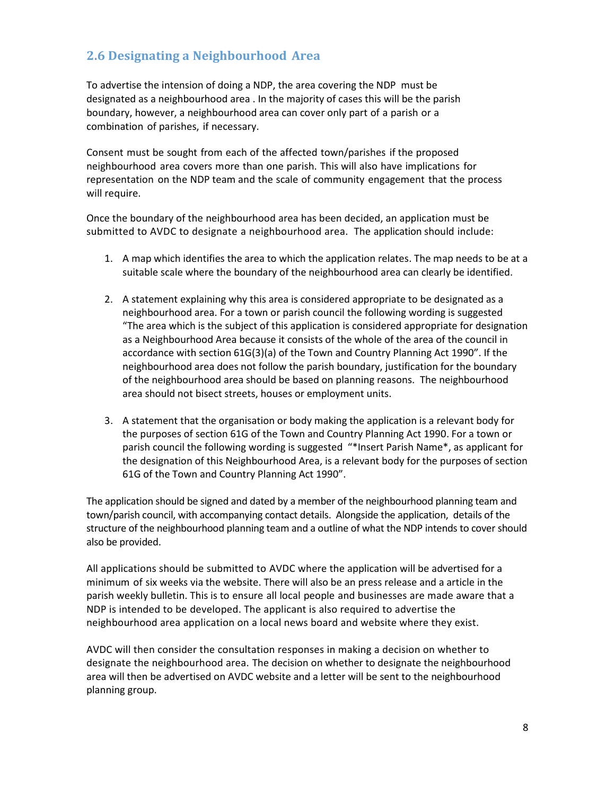## **2.6 Designating a Neighbourhood Area**

To advertise the intension of doing a NDP, the area covering the NDP must be designated as a neighbourhood area . In the majority of cases this will be the parish boundary, however, a neighbourhood area can cover only part of a parish or a combination of parishes, if necessary.

Consent must be sought from each of the affected town/parishes if the proposed neighbourhood area covers more than one parish. This will also have implications for representation on the NDP team and the scale of community engagement that the process will require.

Once the boundary of the neighbourhood area has been decided, an application must be submitted to AVDC to designate a neighbourhood area. The application should include:

- 1. A map which identifies the area to which the application relates. The map needs to be at a suitable scale where the boundary of the neighbourhood area can clearly be identified.
- 2. A statement explaining why this area is considered appropriate to be designated as a neighbourhood area. For a town or parish council the following wording is suggested "The area which is the subject of this application is considered appropriate for designation as a Neighbourhood Area because it consists of the whole of the area of the council in accordance with section 61G(3)(a) of the Town and Country Planning Act 1990". If the neighbourhood area does not follow the parish boundary, justification for the boundary of the neighbourhood area should be based on planning reasons. The neighbourhood area should not bisect streets, houses or employment units.
- 3. A statement that the organisation or body making the application is a relevant body for the purposes of section 61G of the Town and Country Planning Act 1990. For a town or parish council the following wording is suggested "\*Insert Parish Name\*, as applicant for the designation of this Neighbourhood Area, is a relevant body for the purposes of section 61G of the Town and Country Planning Act 1990".

The application should be signed and dated by a member of the neighbourhood planning team and town/parish council, with accompanying contact details. Alongside the application, details of the structure of the neighbourhood planning team and a outline of what the NDP intends to cover should also be provided.

All applications should be submitted to AVDC where the application will be advertised for a minimum of six weeks via the website. There will also be an press release and a article in the parish weekly bulletin. This is to ensure all local people and businesses are made aware that a NDP is intended to be developed. The applicant is also required to advertise the neighbourhood area application on a local news board and website where they exist.

AVDC will then consider the consultation responses in making a decision on whether to designate the neighbourhood area. The decision on whether to designate the neighbourhood area will then be advertised on AVDC website and a letter will be sent to the neighbourhood planning group.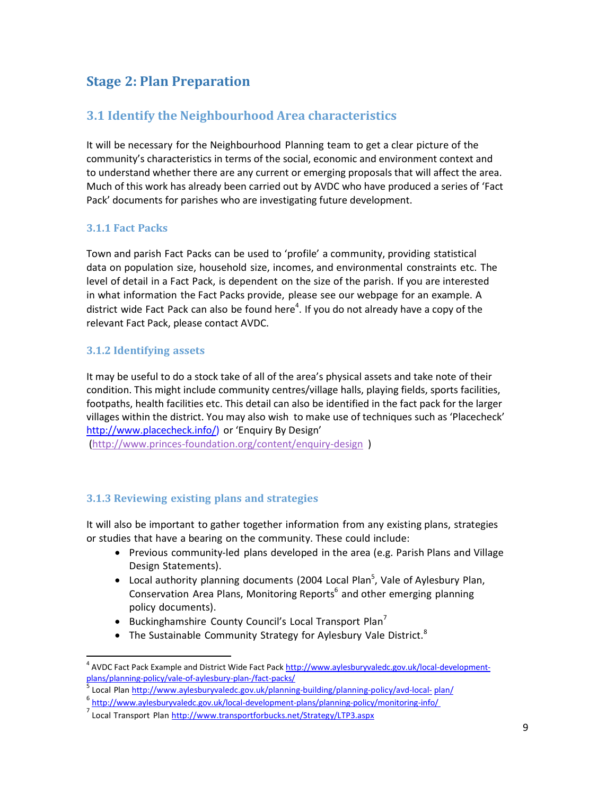# **Stage 2: Plan Preparation**

## **3.1 Identify the Neighbourhood Area characteristics**

It will be necessary for the Neighbourhood Planning team to get a clear picture of the community's characteristics in terms of the social, economic and environment context and to understand whether there are any current or emerging proposals that will affect the area. Much of this work has already been carried out by AVDC who have produced a series of 'Fact Pack' documents for parishes who are investigating future development.

#### **3.1.1 Fact Packs**

Town and parish Fact Packs can be used to 'profile' a community, providing statistical data on population size, household size, incomes, and environmental constraints etc. The level of detail in a Fact Pack, is dependent on the size of the parish. If you are interested in what information the Fact Packs provide, please see our webpage for an example. A district wide Fact Pack can also be found here<sup>4</sup>. If you do not already have a copy of the relevant Fact Pack, please contact AVDC.

#### **3.1.2 Identifying assets**

 $\overline{a}$ 

It may be useful to do a stock take of all of the area's physical assets and take note of their condition. This might include community centres/village halls, playing fields, sports facilities, footpaths, health facilities etc. This detail can also be identified in the fact pack for the larger villages within the district. You may also wish to make use of techniques such as 'Placecheck' [http://www.placecheck.info/\)](http://www.placecheck.info/)) or 'Enquiry By Design'

[\(http://www.princes-foundation.org/content/enquiry-design](http://www.princes-foundation.org/content/enquiry-design) )

#### **3.1.3 Reviewing existing plans and strategies**

It will also be important to gather together information from any existing plans, strategies or studies that have a bearing on the community. These could include:

- Previous community-led plans developed in the area (e.g. Parish Plans and Village Design Statements).
- Local authority planning documents (2004 Local Plan<sup>5</sup>, Vale of Aylesbury Plan, Conservation Area Plans, Monitoring Reports<sup>6</sup> and other emerging planning policy documents).
- Buckinghamshire County Council's Local Transport Plan<sup>7</sup>
- The Sustainable Community Strategy for Aylesbury Vale District.<sup>8</sup>

<sup>&</sup>lt;sup>4</sup> AVDC Fact Pack Example and District Wide Fact Pac[k http://www.aylesburyvaledc.gov.uk/local-development](http://www.aylesburyvaledc.gov.uk/local-development-plans/planning-policy/vale-of-aylesbury-plan-/fact-packs/)[plans/planning-policy/vale-of-aylesbury-plan-/fact-packs/](http://www.aylesburyvaledc.gov.uk/local-development-plans/planning-policy/vale-of-aylesbury-plan-/fact-packs/)

<sup>5</sup> Local Plan <http://www.aylesburyvaledc.gov.uk/planning-building/planning-policy/avd-local-> plan/

<sup>&</sup>lt;sup>6</sup> <http://www.aylesburyvaledc.gov.uk/local-development-plans/planning-policy/monitoring-info/>

<sup>&</sup>lt;sup>7</sup> Local Transport Plan <http://www.transportforbucks.net/Strategy/LTP3.aspx>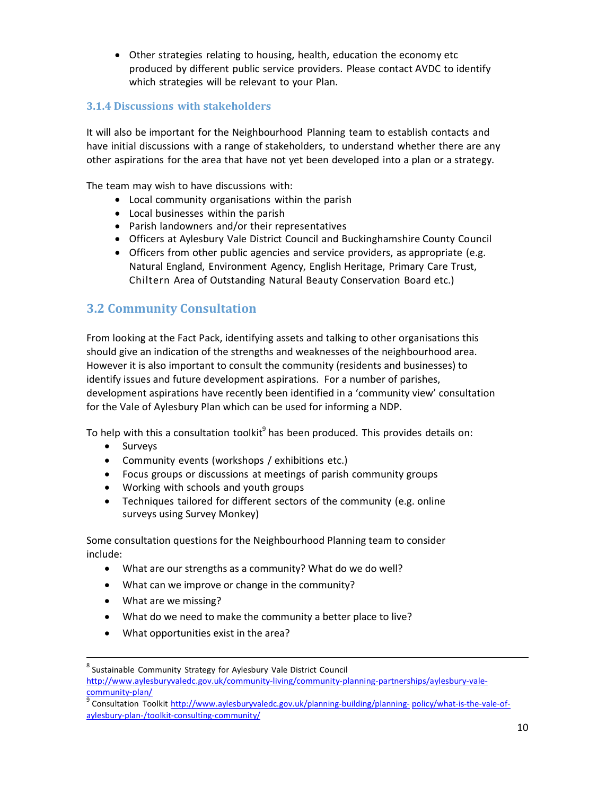Other strategies relating to housing, health, education the economy etc produced by different public service providers. Please contact AVDC to identify which strategies will be relevant to your Plan.

#### **3.1.4 Discussions with stakeholders**

It will also be important for the Neighbourhood Planning team to establish contacts and have initial discussions with a range of stakeholders, to understand whether there are any other aspirations for the area that have not yet been developed into a plan or a strategy.

The team may wish to have discussions with:

- Local community organisations within the parish
- Local businesses within the parish
- Parish landowners and/or their representatives
- Officers at Aylesbury Vale District Council and Buckinghamshire County Council
- Officers from other public agencies and service providers, as appropriate (e.g. Natural England, Environment Agency, English Heritage, Primary Care Trust, Chiltern Area of Outstanding Natural Beauty Conservation Board etc.)

## **3.2 Community Consultation**

From looking at the Fact Pack, identifying assets and talking to other organisations this should give an indication of the strengths and weaknesses of the neighbourhood area. However it is also important to consult the community (residents and businesses) to identify issues and future development aspirations. For a number of parishes, development aspirations have recently been identified in a 'community view' consultation for the Vale of Aylesbury Plan which can be used for informing a NDP.

To help with this a consultation toolkit $^9$  has been produced. This provides details on:

• Surveys

 $\overline{a}$ 

- Community events (workshops / exhibitions etc.)
- Focus groups or discussions at meetings of parish community groups
- Working with schools and youth groups
- Techniques tailored for different sectors of the community (e.g. online surveys using Survey Monkey)

Some consultation questions for the Neighbourhood Planning team to consider include:

- What are our strengths as a community? What do we do well?
- What can we improve or change in the community?
- What are we missing?
- What do we need to make the community a better place to live?
- What opportunities exist in the area?

<sup>&</sup>lt;sup>8</sup> Sustainable Community Strategy for Aylesbury Vale District Council http://www.aylesburyvaledc.gov.uk/community-living/community-planning-partnerships/aylesbury-valecommunity-plan/

<sup>9</sup> Consultation Toolkit <http://www.aylesburyvaledc.gov.uk/planning-building/planning-> policy/what-is-the-vale-ofaylesbury-plan-/toolkit-consulting-community/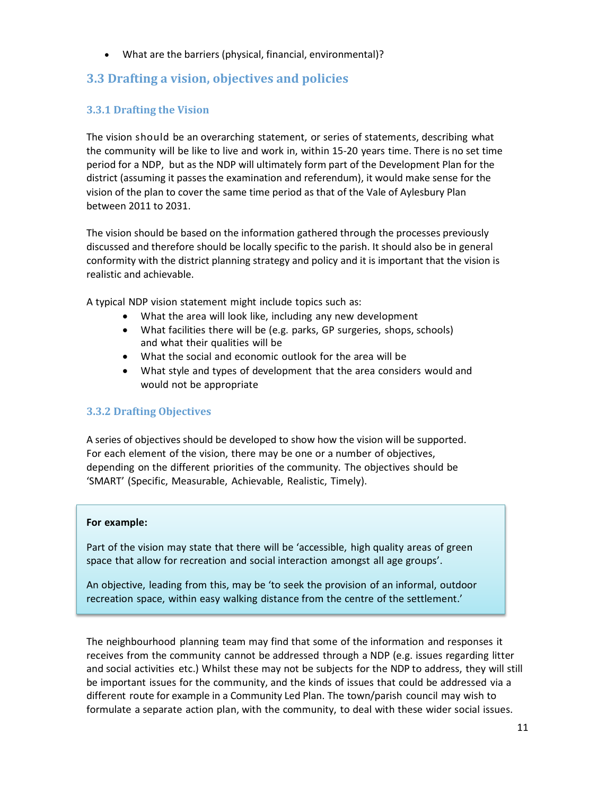What are the barriers (physical, financial, environmental)?

## **3.3 Drafting a vision, objectives and policies**

#### **3.3.1 Drafting the Vision**

The vision should be an overarching statement, or series of statements, describing what the community will be like to live and work in, within 15-20 years time. There is no set time period for a NDP, but as the NDP will ultimately form part of the Development Plan for the district (assuming it passes the examination and referendum), it would make sense for the vision of the plan to cover the same time period as that of the Vale of Aylesbury Plan between 2011 to 2031.

The vision should be based on the information gathered through the processes previously discussed and therefore should be locally specific to the parish. It should also be in general conformity with the district planning strategy and policy and it is important that the vision is realistic and achievable.

A typical NDP vision statement might include topics such as:

- What the area will look like, including any new development
- What facilities there will be (e.g. parks, GP surgeries, shops, schools) and what their qualities will be
- What the social and economic outlook for the area will be
- What style and types of development that the area considers would and would not be appropriate

#### **3.3.2 Drafting Objectives**

A series of objectives should be developed to show how the vision will be supported. For each element of the vision, there may be one or a number of objectives, depending on the different priorities of the community. The objectives should be 'SMART' (Specific, Measurable, Achievable, Realistic, Timely).

#### **For example:**

Part of the vision may state that there will be 'accessible, high quality areas of green space that allow for recreation and social interaction amongst all age groups'.

An objective, leading from this, may be 'to seek the provision of an informal, outdoor recreation space, within easy walking distance from the centre of the settlement.'

The neighbourhood planning team may find that some of the information and responses it receives from the community cannot be addressed through a NDP (e.g. issues regarding litter and social activities etc.) Whilst these may not be subjects for the NDP to address, they will still be important issues for the community, and the kinds of issues that could be addressed via a different route for example in a Community Led Plan. The town/parish council may wish to formulate a separate action plan, with the community, to deal with these wider social issues.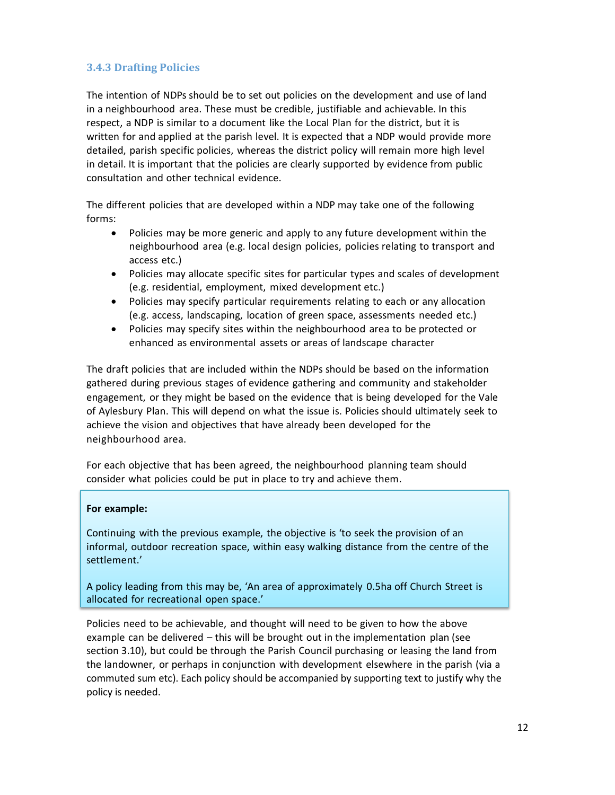#### **3.4.3 Drafting Policies**

The intention of NDPs should be to set out policies on the development and use of land in a neighbourhood area. These must be credible, justifiable and achievable. In this respect, a NDP is similar to a document like the Local Plan for the district, but it is written for and applied at the parish level. It is expected that a NDP would provide more detailed, parish specific policies, whereas the district policy will remain more high level in detail. It is important that the policies are clearly supported by evidence from public consultation and other technical evidence.

The different policies that are developed within a NDP may take one of the following forms:

- Policies may be more generic and apply to any future development within the neighbourhood area (e.g. local design policies, policies relating to transport and access etc.)
- Policies may allocate specific sites for particular types and scales of development (e.g. residential, employment, mixed development etc.)
- Policies may specify particular requirements relating to each or any allocation (e.g. access, landscaping, location of green space, assessments needed etc.)
- Policies may specify sites within the neighbourhood area to be protected or enhanced as environmental assets or areas of landscape character

The draft policies that are included within the NDPs should be based on the information gathered during previous stages of evidence gathering and community and stakeholder engagement, or they might be based on the evidence that is being developed for the Vale of Aylesbury Plan. This will depend on what the issue is. Policies should ultimately seek to achieve the vision and objectives that have already been developed for the neighbourhood area.

For each objective that has been agreed, the neighbourhood planning team should consider what policies could be put in place to try and achieve them.

#### **For example:**

Continuing with the previous example, the objective is 'to seek the provision of an informal, outdoor recreation space, within easy walking distance from the centre of the settlement.'

A policy leading from this may be, 'An area of approximately 0.5ha off Church Street is allocated for recreational open space.'

Policies need to be achievable, and thought will need to be given to how the above example can be delivered – this will be brought out in the implementation plan (see section 3.10), but could be through the Parish Council purchasing or leasing the land from the landowner, or perhaps in conjunction with development elsewhere in the parish (via a commuted sum etc). Each policy should be accompanied by supporting text to justify why the policy is needed.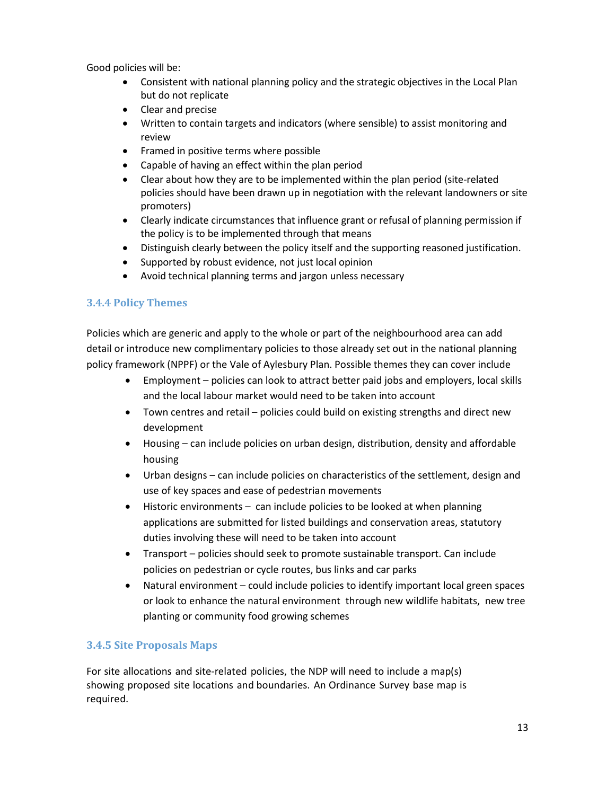Good policies will be:

- Consistent with national planning policy and the strategic objectives in the Local Plan but do not replicate
- Clear and precise
- Written to contain targets and indicators (where sensible) to assist monitoring and review
- Framed in positive terms where possible
- Capable of having an effect within the plan period
- Clear about how they are to be implemented within the plan period (site-related policies should have been drawn up in negotiation with the relevant landowners or site promoters)
- Clearly indicate circumstances that influence grant or refusal of planning permission if the policy is to be implemented through that means
- Distinguish clearly between the policy itself and the supporting reasoned justification.
- Supported by robust evidence, not just local opinion
- Avoid technical planning terms and jargon unless necessary

#### **3.4.4 Policy Themes**

Policies which are generic and apply to the whole or part of the neighbourhood area can add detail or introduce new complimentary policies to those already set out in the national planning policy framework (NPPF) or the Vale of Aylesbury Plan. Possible themes they can cover include

- Employment policies can look to attract better paid jobs and employers, local skills and the local labour market would need to be taken into account
- Town centres and retail policies could build on existing strengths and direct new development
- Housing can include policies on urban design, distribution, density and affordable housing
- Urban designs can include policies on characteristics of the settlement, design and use of key spaces and ease of pedestrian movements
- Historic environments can include policies to be looked at when planning applications are submitted for listed buildings and conservation areas, statutory duties involving these will need to be taken into account
- Transport policies should seek to promote sustainable transport. Can include policies on pedestrian or cycle routes, bus links and car parks
- Natural environment could include policies to identify important local green spaces or look to enhance the natural environment through new wildlife habitats, new tree planting or community food growing schemes

#### **3.4.5 Site Proposals Maps**

For site allocations and site-related policies, the NDP will need to include a map(s) showing proposed site locations and boundaries. An Ordinance Survey base map is required.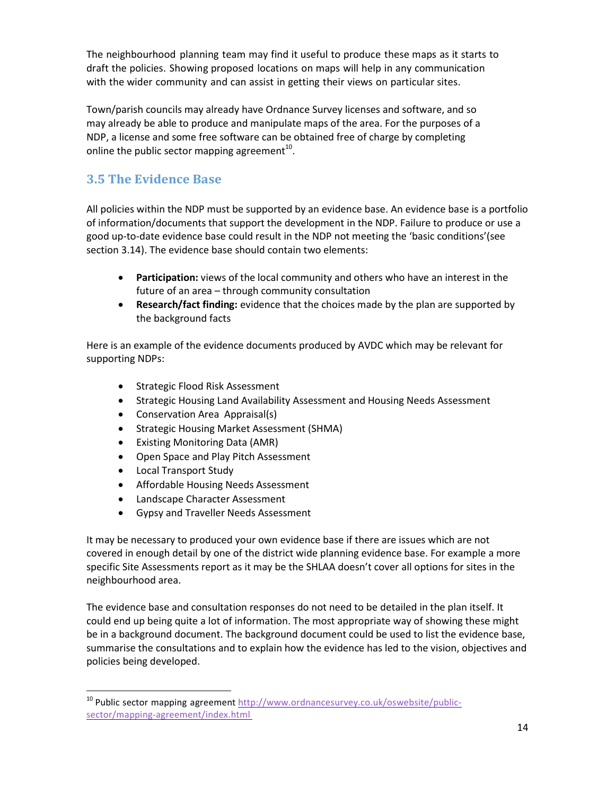The neighbourhood planning team may find it useful to produce these maps as it starts to draft the policies. Showing proposed locations on maps will help in any communication with the wider community and can assist in getting their views on particular sites.

Town/parish councils may already have Ordnance Survey licenses and software, and so may already be able to produce and manipulate maps of the area. For the purposes of a NDP, a license and some free software can be obtained free of charge by completing online the public sector mapping agreement<sup>10</sup>.

## **3.5 The Evidence Base**

All policies within the NDP must be supported by an evidence base. An evidence base is a portfolio of information/documents that support the development in the NDP. Failure to produce or use a good up-to-date evidence base could result in the NDP not meeting the 'basic conditions'(see section 3.14). The evidence base should contain two elements:

- **Participation:** views of the local community and others who have an interest in the future of an area – through community consultation
- **Research/fact finding:** evidence that the choices made by the plan are supported by the background facts

Here is an example of the evidence documents produced by AVDC which may be relevant for supporting NDPs:

- Strategic Flood Risk Assessment
- Strategic Housing Land Availability Assessment and Housing Needs Assessment
- Conservation Area Appraisal(s)
- Strategic Housing Market Assessment (SHMA)
- Existing Monitoring Data (AMR)
- Open Space and Play Pitch Assessment
- Local Transport Study

 $\overline{a}$ 

- Affordable Housing Needs Assessment
- Landscape Character Assessment
- Gypsy and Traveller Needs Assessment

It may be necessary to produced your own evidence base if there are issues which are not covered in enough detail by one of the district wide planning evidence base. For example a more specific Site Assessments report as it may be the SHLAA doesn't cover all options for sites in the neighbourhood area.

The evidence base and consultation responses do not need to be detailed in the plan itself. It could end up being quite a lot of information. The most appropriate way of showing these might be in a background document. The background document could be used to list the evidence base, summarise the consultations and to explain how the evidence has led to the vision, objectives and policies being developed.

<sup>&</sup>lt;sup>10</sup> Public sector mapping agreement [http://www.ordnancesurvey.co.uk/oswebsite/public](http://www.ordnancesurvey.co.uk/oswebsite/public-sector/mapping-agreement/index.html)[sector/mapping-agreement/index.html](http://www.ordnancesurvey.co.uk/oswebsite/public-sector/mapping-agreement/index.html)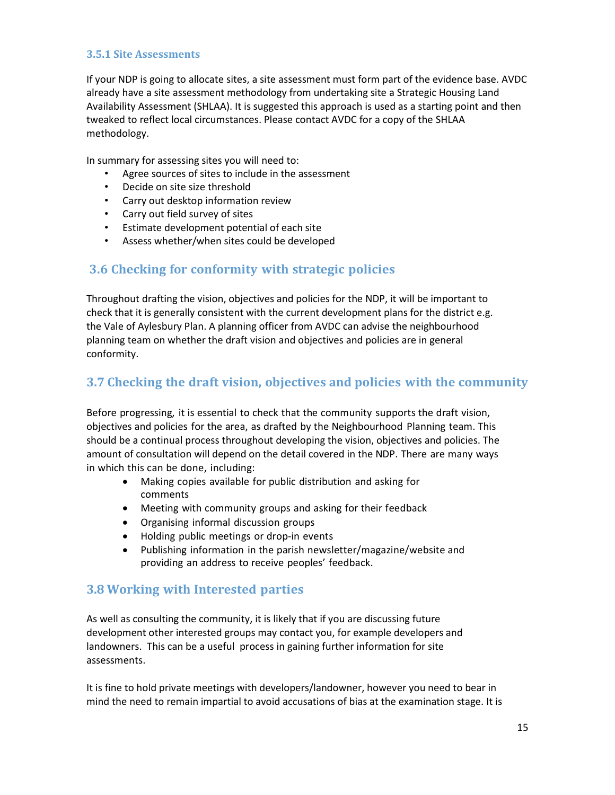#### **3.5.1 Site Assessments**

If your NDP is going to allocate sites, a site assessment must form part of the evidence base. AVDC already have a site assessment methodology from undertaking site a Strategic Housing Land Availability Assessment (SHLAA). It is suggested this approach is used as a starting point and then tweaked to reflect local circumstances. Please contact AVDC for a copy of the SHLAA methodology.

In summary for assessing sites you will need to:

- Agree sources of sites to include in the assessment
- Decide on site size threshold
- Carry out desktop information review
- Carry out field survey of sites
- Estimate development potential of each site
- Assess whether/when sites could be developed

## **3.6 Checking for conformity with strategic policies**

Throughout drafting the vision, objectives and policies for the NDP, it will be important to check that it is generally consistent with the current development plans for the district e.g. the Vale of Aylesbury Plan. A planning officer from AVDC can advise the neighbourhood planning team on whether the draft vision and objectives and policies are in general conformity.

## **3.7 Checking the draft vision, objectives and policies with the community**

Before progressing, it is essential to check that the community supports the draft vision, objectives and policies for the area, as drafted by the Neighbourhood Planning team. This should be a continual process throughout developing the vision, objectives and policies. The amount of consultation will depend on the detail covered in the NDP. There are many ways in which this can be done, including:

- Making copies available for public distribution and asking for comments
- Meeting with community groups and asking for their feedback
- Organising informal discussion groups
- Holding public meetings or drop-in events
- Publishing information in the parish newsletter/magazine/website and providing an address to receive peoples' feedback.

## **3.8 Working with Interested parties**

As well as consulting the community, it is likely that if you are discussing future development other interested groups may contact you, for example developers and landowners. This can be a useful process in gaining further information for site assessments.

It is fine to hold private meetings with developers/landowner, however you need to bear in mind the need to remain impartial to avoid accusations of bias at the examination stage. It is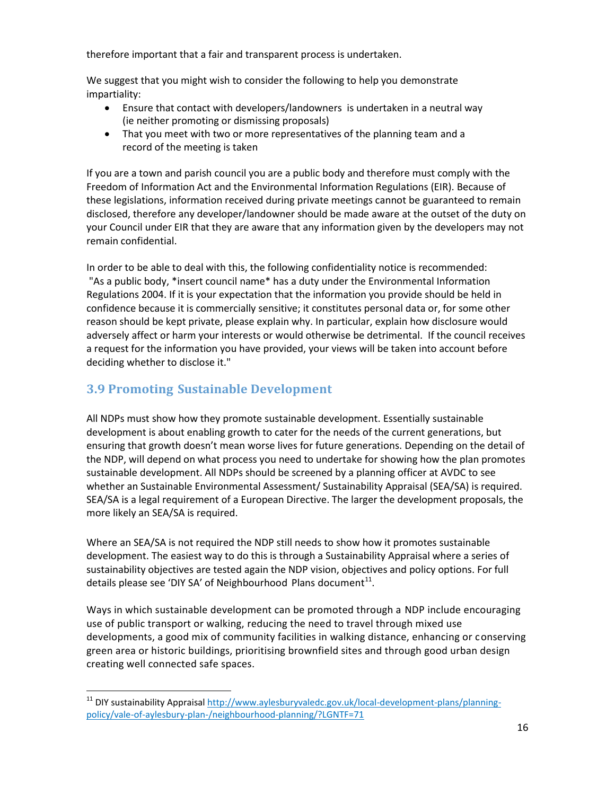therefore important that a fair and transparent process is undertaken.

We suggest that you might wish to consider the following to help you demonstrate impartiality:

- Ensure that contact with developers/landowners is undertaken in a neutral way (ie neither promoting or dismissing proposals)
- That you meet with two or more representatives of the planning team and a record of the meeting is taken

If you are a town and parish council you are a public body and therefore must comply with the Freedom of Information Act and the Environmental Information Regulations (EIR). Because of these legislations, information received during private meetings cannot be guaranteed to remain disclosed, therefore any developer/landowner should be made aware at the outset of the duty on your Council under EIR that they are aware that any information given by the developers may not remain confidential.

In order to be able to deal with this, the following confidentiality notice is recommended: "As a public body, \*insert council name\* has a duty under the Environmental Information Regulations 2004. If it is your expectation that the information you provide should be held in confidence because it is commercially sensitive; it constitutes personal data or, for some other reason should be kept private, please explain why. In particular, explain how disclosure would adversely affect or harm your interests or would otherwise be detrimental. If the council receives a request for the information you have provided, your views will be taken into account before deciding whether to disclose it."

## **3.9 Promoting Sustainable Development**

 $\overline{a}$ 

All NDPs must show how they promote sustainable development. Essentially sustainable development is about enabling growth to cater for the needs of the current generations, but ensuring that growth doesn't mean worse lives for future generations. Depending on the detail of the NDP, will depend on what process you need to undertake for showing how the plan promotes sustainable development. All NDPs should be screened by a planning officer at AVDC to see whether an Sustainable Environmental Assessment/ Sustainability Appraisal (SEA/SA) is required. SEA/SA is a legal requirement of a European Directive. The larger the development proposals, the more likely an SEA/SA is required.

Where an SEA/SA is not required the NDP still needs to show how it promotes sustainable development. The easiest way to do this is through a Sustainability Appraisal where a series of sustainability objectives are tested again the NDP vision, objectives and policy options. For full details please see 'DIY SA' of Neighbourhood Plans document $^{11}$ .

Ways in which sustainable development can be promoted through a NDP include encouraging use of public transport or walking, reducing the need to travel through mixed use developments, a good mix of community facilities in walking distance, enhancing or conserving green area or historic buildings, prioritising brownfield sites and through good urban design creating well connected safe spaces.

<sup>&</sup>lt;sup>11</sup> DIY sustainability Appraisa[l http://www.aylesburyvaledc.gov.uk/local-development-plans/planning](http://www.aylesburyvaledc.gov.uk/local-development-plans/planning-policy/vale-of-aylesbury-plan-/neighbourhood-planning/?LGNTF=71)[policy/vale-of-aylesbury-plan-/neighbourhood-planning/?LGNTF=71](http://www.aylesburyvaledc.gov.uk/local-development-plans/planning-policy/vale-of-aylesbury-plan-/neighbourhood-planning/?LGNTF=71)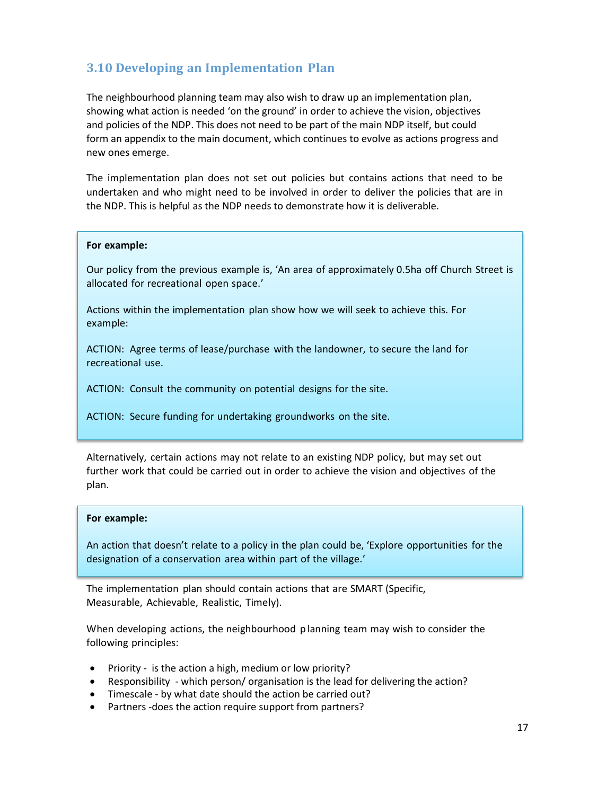## **3.10 Developing an Implementation Plan**

The neighbourhood planning team may also wish to draw up an implementation plan, showing what action is needed 'on the ground' in order to achieve the vision, objectives and policies of the NDP. This does not need to be part of the main NDP itself, but could form an appendix to the main document, which continues to evolve as actions progress and new ones emerge.

The implementation plan does not set out policies but contains actions that need to be undertaken and who might need to be involved in order to deliver the policies that are in the NDP. This is helpful as the NDP needs to demonstrate how it is deliverable.

#### **For example:**

Our policy from the previous example is, 'An area of approximately 0.5ha off Church Street is allocated for recreational open space.'

Actions within the implementation plan show how we will seek to achieve this. For example:

ACTION: Agree terms of lease/purchase with the landowner, to secure the land for recreational use.

ACTION: Consult the community on potential designs for the site.

ACTION: Secure funding for undertaking groundworks on the site.

Alternatively, certain actions may not relate to an existing NDP policy, but may set out further work that could be carried out in order to achieve the vision and objectives of the plan.

#### **For example:**

An action that doesn't relate to a policy in the plan could be, 'Explore opportunities for the designation of a conservation area within part of the village.'

The implementation plan should contain actions that are SMART (Specific, Measurable, Achievable, Realistic, Timely).

When developing actions, the neighbourhood p lanning team may wish to consider the following principles:

- Priority is the action a high, medium or low priority?
- Responsibility which person/ organisation is the lead for delivering the action?
- Timescale by what date should the action be carried out?
- Partners -does the action require support from partners?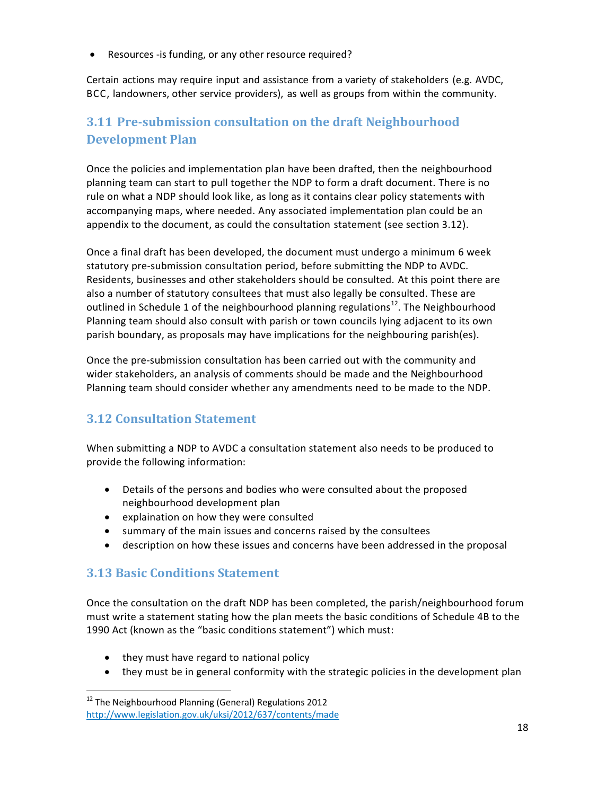Resources -is funding, or any other resource required?

Certain actions may require input and assistance from a variety of stakeholders (e.g. AVDC, BCC, landowners, other service providers), as well as groups from within the community.

# **3.11 Pre-submission consultation on the draft Neighbourhood Development Plan**

Once the policies and implementation plan have been drafted, then the neighbourhood planning team can start to pull together the NDP to form a draft document. There is no rule on what a NDP should look like, as long as it contains clear policy statements with accompanying maps, where needed. Any associated implementation plan could be an appendix to the document, as could the consultation statement (see section 3.12).

Once a final draft has been developed, the document must undergo a minimum 6 week statutory pre-submission consultation period, before submitting the NDP to AVDC. Residents, businesses and other stakeholders should be consulted. At this point there are also a number of statutory consultees that must also legally be consulted. These are outlined in Schedule 1 of the neighbourhood planning regulations<sup>12</sup>. The Neighbourhood Planning team should also consult with parish or town councils lying adjacent to its own parish boundary, as proposals may have implications for the neighbouring parish(es).

Once the pre-submission consultation has been carried out with the community and wider stakeholders, an analysis of comments should be made and the Neighbourhood Planning team should consider whether any amendments need to be made to the NDP.

## **3.12 Consultation Statement**

When submitting a NDP to AVDC a consultation statement also needs to be produced to provide the following information:

- Details of the persons and bodies who were consulted about the proposed neighbourhood development plan
- explaination on how they were consulted
- summary of the main issues and concerns raised by the consultees
- description on how these issues and concerns have been addressed in the proposal

## **3.13 Basic Conditions Statement**

 $\overline{a}$ 

Once the consultation on the draft NDP has been completed, the parish/neighbourhood forum must write a statement stating how the plan meets the basic conditions of Schedule 4B to the 1990 Act (known as the "basic conditions statement") which must:

- they must have regard to national policy
- they must be in general conformity with the strategic policies in the development plan

 $12$  The Neighbourhood Planning (General) Regulations 2012 <http://www.legislation.gov.uk/uksi/2012/637/contents/made>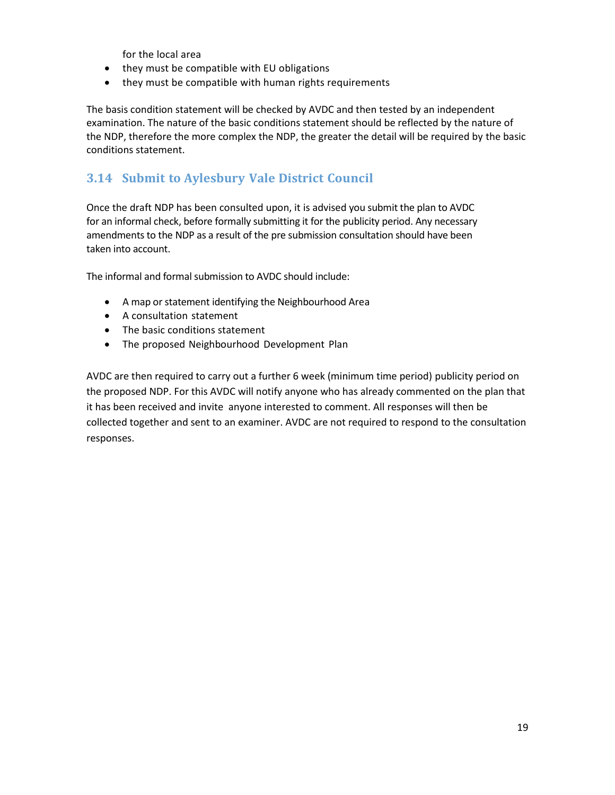for the local area

- they must be compatible with EU obligations
- they must be compatible with human rights requirements

The basis condition statement will be checked by AVDC and then tested by an independent examination. The nature of the basic conditions statement should be reflected by the nature of the NDP, therefore the more complex the NDP, the greater the detail will be required by the basic conditions statement.

## **3.14 Submit to Aylesbury Vale District Council**

Once the draft NDP has been consulted upon, it is advised you submit the plan to AVDC for an informal check, before formally submitting it for the publicity period. Any necessary amendments to the NDP as a result of the pre submission consultation should have been taken into account.

The informal and formal submission to AVDC should include:

- A map or statement identifying the Neighbourhood Area
- A consultation statement
- The basic conditions statement
- The proposed Neighbourhood Development Plan

AVDC are then required to carry out a further 6 week (minimum time period) publicity period on the proposed NDP. For this AVDC will notify anyone who has already commented on the plan that it has been received and invite anyone interested to comment. All responses will then be collected together and sent to an examiner. AVDC are not required to respond to the consultation responses.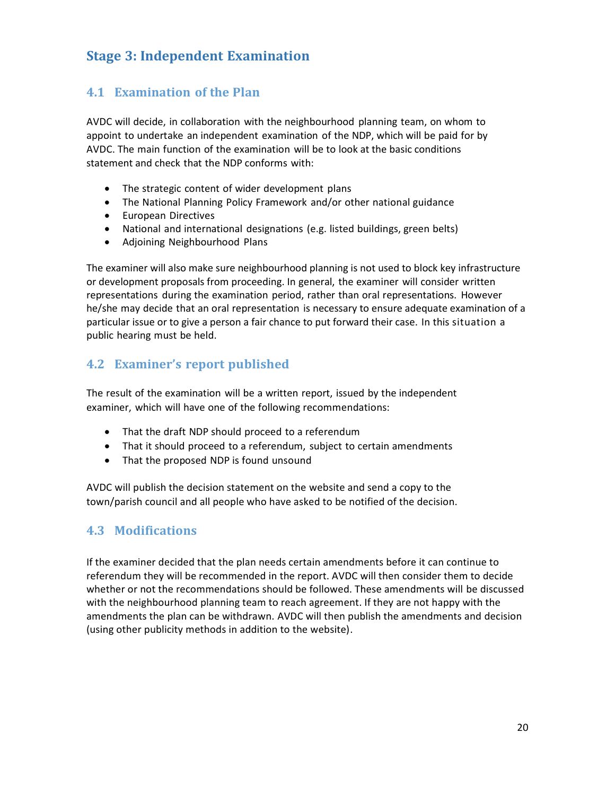# **Stage 3: Independent Examination**

## **4.1 Examination of the Plan**

AVDC will decide, in collaboration with the neighbourhood planning team, on whom to appoint to undertake an independent examination of the NDP, which will be paid for by AVDC. The main function of the examination will be to look at the basic conditions statement and check that the NDP conforms with:

- The strategic content of wider development plans
- The National Planning Policy Framework and/or other national guidance
- **•** European Directives
- National and international designations (e.g. listed buildings, green belts)
- Adjoining Neighbourhood Plans

The examiner will also make sure neighbourhood planning is not used to block key infrastructure or development proposals from proceeding. In general, the examiner will consider written representations during the examination period, rather than oral representations. However he/she may decide that an oral representation is necessary to ensure adequate examination of a particular issue or to give a person a fair chance to put forward their case. In this situation a public hearing must be held.

## **4.2 Examiner's report published**

The result of the examination will be a written report, issued by the independent examiner, which will have one of the following recommendations:

- That the draft NDP should proceed to a referendum
- That it should proceed to a referendum, subject to certain amendments
- That the proposed NDP is found unsound

AVDC will publish the decision statement on the website and send a copy to the town/parish council and all people who have asked to be notified of the decision.

#### **4.3 Modifications**

If the examiner decided that the plan needs certain amendments before it can continue to referendum they will be recommended in the report. AVDC will then consider them to decide whether or not the recommendations should be followed. These amendments will be discussed with the neighbourhood planning team to reach agreement. If they are not happy with the amendments the plan can be withdrawn. AVDC will then publish the amendments and decision (using other publicity methods in addition to the website).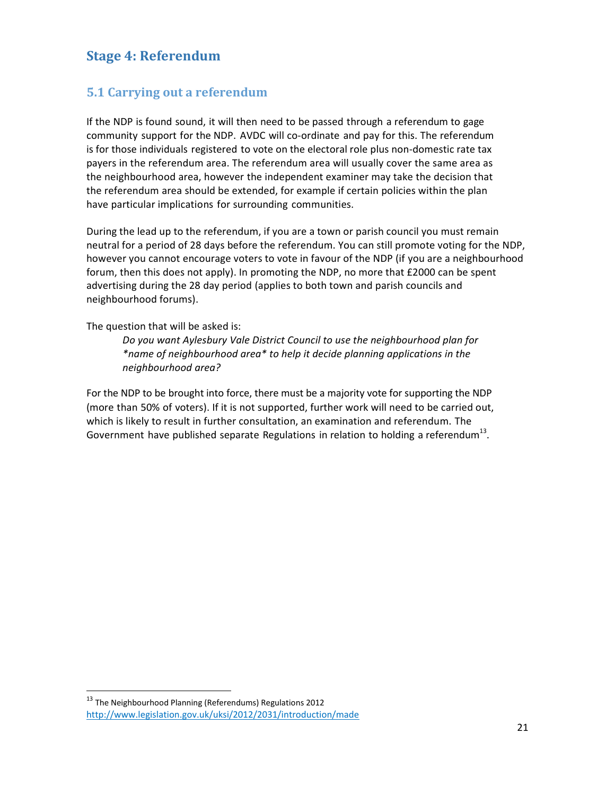## **Stage 4: Referendum**

## **5.1 Carrying out a referendum**

If the NDP is found sound, it will then need to be passed through a referendum to gage community support for the NDP. AVDC will co-ordinate and pay for this. The referendum is for those individuals registered to vote on the electoral role plus non-domestic rate tax payers in the referendum area. The referendum area will usually cover the same area as the neighbourhood area, however the independent examiner may take the decision that the referendum area should be extended, for example if certain policies within the plan have particular implications for surrounding communities.

During the lead up to the referendum, if you are a town or parish council you must remain neutral for a period of 28 days before the referendum. You can still promote voting for the NDP, however you cannot encourage voters to vote in favour of the NDP (if you are a neighbourhood forum, then this does not apply). In promoting the NDP, no more that £2000 can be spent advertising during the 28 day period (applies to both town and parish councils and neighbourhood forums).

The question that will be asked is:

*Do you want Aylesbury Vale District Council to use the neighbourhood plan for \*name of neighbourhood area\* to help it decide planning applications in the neighbourhood area?*

For the NDP to be brought into force, there must be a majority vote for supporting the NDP (more than 50% of voters). If it is not supported, further work will need to be carried out, which is likely to result in further consultation, an examination and referendum. The Government have published separate Regulations in relation to holding a referendum<sup>13</sup>.

 $\overline{a}$ 

 $13$  The Neighbourhood Planning (Referendums) Regulations 2012 <http://www.legislation.gov.uk/uksi/2012/2031/introduction/made>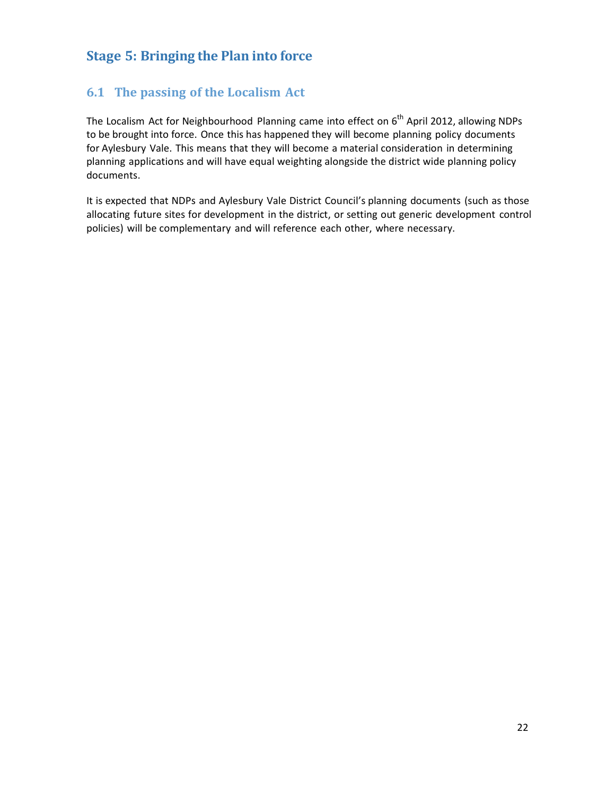# **Stage 5: Bringing the Plan into force**

## **6.1 The passing of the Localism Act**

The Localism Act for Neighbourhood Planning came into effect on 6<sup>th</sup> April 2012, allowing NDPs to be brought into force. Once this has happened they will become planning policy documents for Aylesbury Vale. This means that they will become a material consideration in determining planning applications and will have equal weighting alongside the district wide planning policy documents.

It is expected that NDPs and Aylesbury Vale District Council's planning documents (such as those allocating future sites for development in the district, or setting out generic development control policies) will be complementary and will reference each other, where necessary.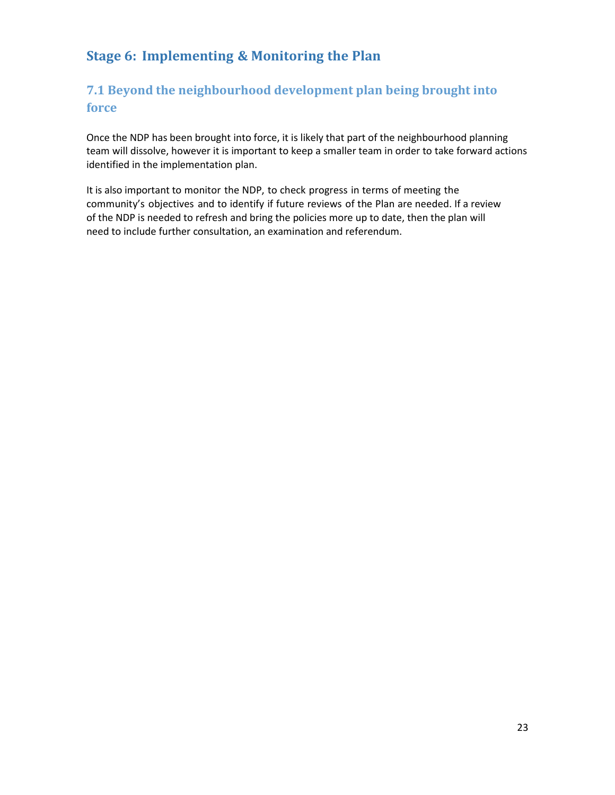# **Stage 6: Implementing & Monitoring the Plan**

# **7.1 Beyond the neighbourhood development plan being brought into force**

Once the NDP has been brought into force, it is likely that part of the neighbourhood planning team will dissolve, however it is important to keep a smaller team in order to take forward actions identified in the implementation plan.

It is also important to monitor the NDP, to check progress in terms of meeting the community's objectives and to identify if future reviews of the Plan are needed. If a review of the NDP is needed to refresh and bring the policies more up to date, then the plan will need to include further consultation, an examination and referendum.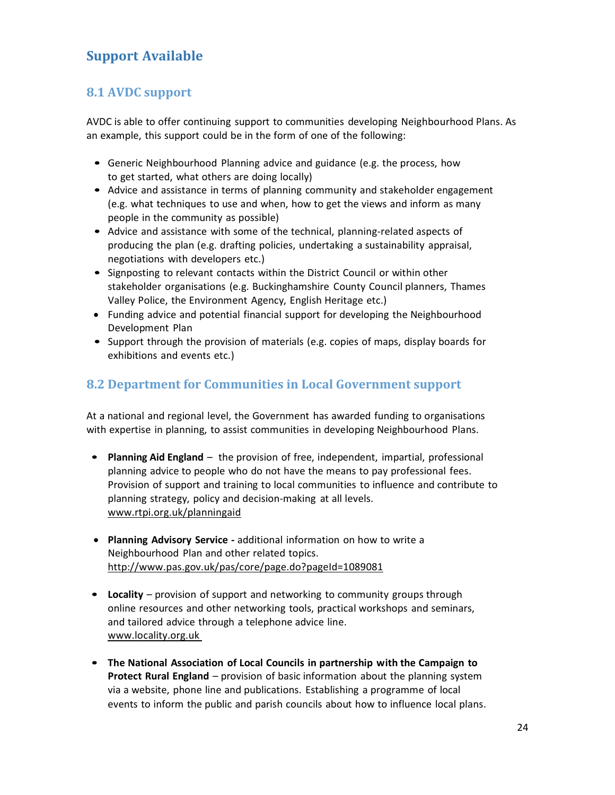# **Support Available**

## **8.1 AVDC support**

AVDC is able to offer continuing support to communities developing Neighbourhood Plans. As an example, this support could be in the form of one of the following:

- Generic Neighbourhood Planning advice and guidance (e.g. the process, how to get started, what others are doing locally)
- Advice and assistance in terms of planning community and stakeholder engagement (e.g. what techniques to use and when, how to get the views and inform as many people in the community as possible)
- Advice and assistance with some of the technical, planning-related aspects of producing the plan (e.g. drafting policies, undertaking a sustainability appraisal, negotiations with developers etc.)
- Signposting to relevant contacts within the District Council or within other stakeholder organisations (e.g. Buckinghamshire County Council planners, Thames Valley Police, the Environment Agency, English Heritage etc.)
- Funding advice and potential financial support for developing the Neighbourhood Development Plan
- Support through the provision of materials (e.g. copies of maps, display boards for exhibitions and events etc.)

## **8.2 Department for Communities in Local Government support**

At a national and regional level, the Government has awarded funding to organisations with expertise in planning, to assist communities in developing Neighbourhood Plans.

- **Planning Aid England** the provision of free, independent, impartial, professional planning advice to people who do not have the means to pay professional fees. Provision of support and training to local communities to influence and contribute to planning strategy, policy and decision-making at all levels. [www.rtpi.org.uk/planningaid](http://www.rtpi.org.uk/planningaid)
- **Planning Advisory Service -** additional information on how to write a Neighbourhood Plan and other related topics. <http://www.pas.gov.uk/pas/core/page.do?pageId=1089081>
- **Locality** provision of support and networking to community groups through online resources and other networking tools, practical workshops and seminars, and tailored advice through a telephone advice line. [www.locality.org.uk](http://www.locality.org.uk/)
- **The National Association of Local Councils in partnership with the Campaign to Protect Rural England** – provision of basic information about the planning system via a website, phone line and publications. Establishing a programme of local events to inform the public and parish councils about how to influence local plans.